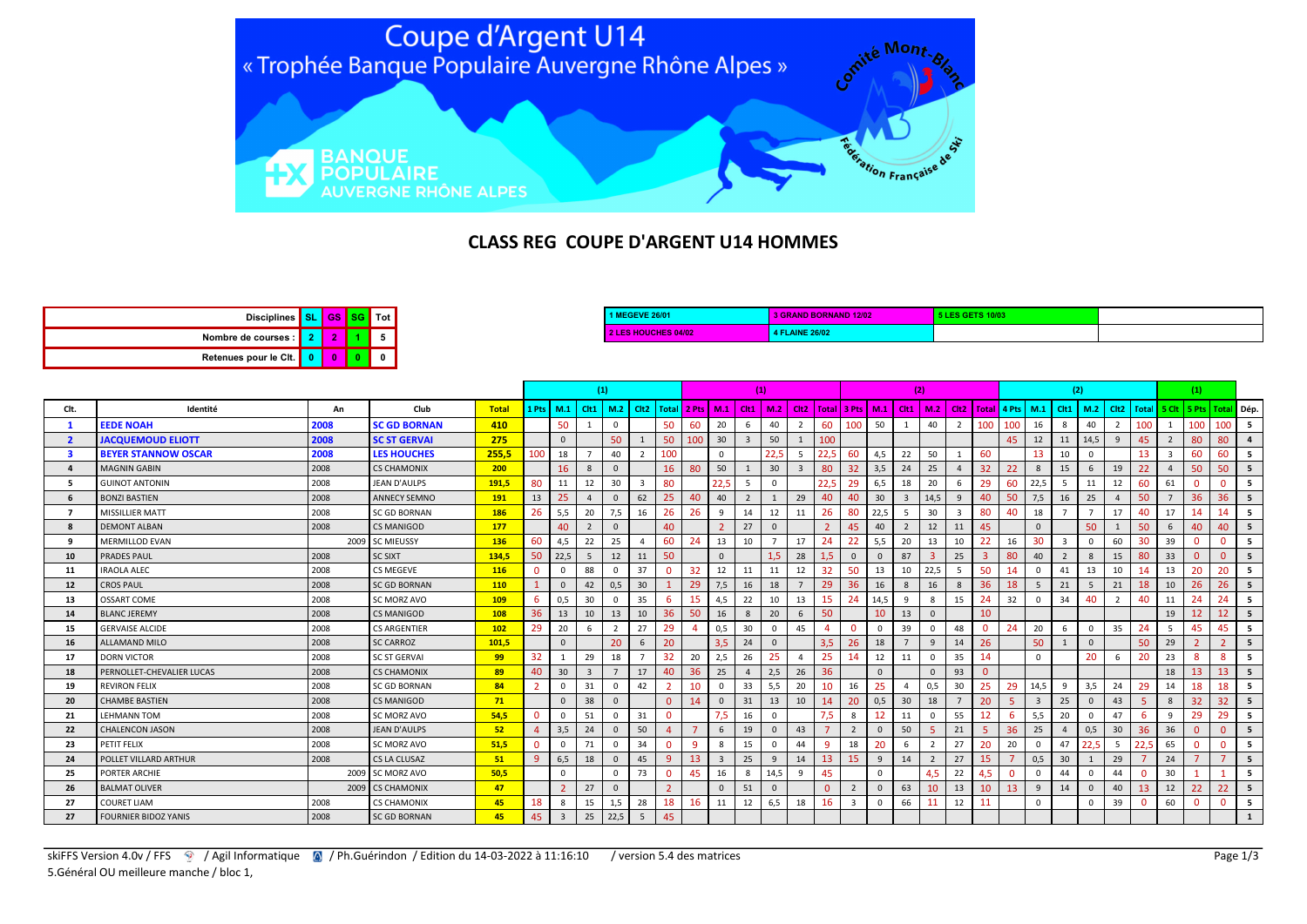

## CLASS REG COUPE D'ARGENT U14 HOMMES

| <b>2 LES HOUCHES 04/02</b> | 4 FLAINE 26/02 |  |
|----------------------------|----------------|--|
|                            |                |  |

|      |                             |      |                     |              |                 |                | (1)                     |                |                |                       |     |                |              | (1)          |                                                                                                          |      |              |                | (2)                     |                |                |          |          |              |                  | (2)      |                        |       |                         | (1)      |                              |     |
|------|-----------------------------|------|---------------------|--------------|-----------------|----------------|-------------------------|----------------|----------------|-----------------------|-----|----------------|--------------|--------------|----------------------------------------------------------------------------------------------------------|------|--------------|----------------|-------------------------|----------------|----------------|----------|----------|--------------|------------------|----------|------------------------|-------|-------------------------|----------|------------------------------|-----|
| Clt. | Identité                    | An   | Club                | <b>Total</b> | 1 Pts I         | M.1            | C <sub>It1</sub>        | M.2            |                |                       |     |                |              |              | Cit2   Total   2 Pts   M.1   Cit1   M.2   Cit2   Total   3 Pts   M.1   Cit1   M.2   Cit2   Total   4 Pts |      |              |                |                         |                |                |          |          | M.1          | Cit <sub>1</sub> | M.2      | Cit <sub>2</sub>       | Total |                         |          | 5 Clt   5 Pts   Total   Dép. |     |
|      | <b>EEDE NOAH</b>            | 2008 | <b>SC GD BORNAN</b> | 410          |                 | 50             |                         | $\mathbf{0}$   |                | 50                    | 60  | 20             | 6            | 40           | $\overline{2}$                                                                                           | 60   | 100          | 50             |                         | 40             | $\overline{2}$ | 100      | 100      | 16           | 8                | 40       | $\overline{2}$         | 100   |                         | 100      | 100                          | 5   |
| - 2  | <b>JACQUEMOUD ELIOTT</b>    | 2008 | <b>SC ST GERVAI</b> | 275          |                 | $\Omega$       |                         | 50             |                | 50                    | 100 | 30             |              | 50           |                                                                                                          | 100  |              |                |                         |                |                |          | 45       | 12           | 11               | 14,5     | 9                      | 45    |                         | 80       | 80                           |     |
|      | <b>BEYER STANNOW OSCAR</b>  | 2008 | <b>LES HOUCHES</b>  | 255.5        | 100             | 18             |                         | 40             | $\overline{2}$ | 100                   |     | $\Omega$       |              | 22,5         | -5                                                                                                       | 22.5 | 60           | 4,5            | 22                      | 50             |                | 60       |          | 13           | 10               | $\Omega$ |                        | 13    | $\overline{\mathbf{3}}$ | -60      | 60                           | - 5 |
|      | <b>MAGNIN GABIN</b>         | 2008 | <b>CS CHAMONIX</b>  | 200          |                 | 16             | 8                       | $\mathbf{0}$   |                | 16                    | 80  | 50             |              | 30           | $\overline{3}$                                                                                           | 80   | 32           | 3,5            | 24                      | 25             | $\overline{a}$ | 32       | 22       | $\mathbf{8}$ | 15               | 6        | 19                     | 22    | $\overline{4}$          | 50       | 50                           | 5   |
|      | <b>GUINOT ANTONIN</b>       | 2008 | JEAN D'AULPS        | 191,5        | 80              | 11             | 12                      | 30             | $\mathbf{3}$   | 80                    |     | 22,5           |              | $\Omega$     |                                                                                                          | 22.  | 29           | 6,5            | 18                      | 20             | 6              | 29       | 60       | 22,5         |                  | 11       | 12                     | -60   | 61                      | $\Omega$ |                              | - 5 |
|      | <b>BONZI BASTIEN</b>        | 2008 | <b>ANNECY SEMNO</b> | 191          | 13              | 25             | $\overline{4}$          | $\mathbf{0}$   | 62             | 25                    | 40  | 40             |              | $\mathbf{1}$ | 29                                                                                                       | 40   | 40           | 30             | $\overline{\mathbf{3}}$ | 14,5           | 9              | 40       | 50       | 7,5          | 16               | 25       | $\boldsymbol{\Lambda}$ | 50    |                         | 36       | 36                           | 5   |
|      | <b>MISSILLIER MATT</b>      | 2008 | <b>SC GD BORNAN</b> | 186          | 26              | 5,5            | 20                      | 7,5            | 16             | 26                    | 26  | 9              | 14           | 12           | 11                                                                                                       | 26   | 80           | 22,5           | -5                      | 30             |                | 80       | 40       | 18           |                  |          | 17                     | 40    | 17                      | 14       | 14                           | - 5 |
|      | <b>DEMONT ALBAN</b>         | 2008 | <b>CS MANIGOD</b>   | 177          |                 | 40             | 2                       | $\mathbf{0}$   |                | 40                    |     | $\overline{2}$ | 27           | $\Omega$     |                                                                                                          |      | 45           | 40             | $\overline{2}$          | 12             | 11             | 45       |          | $\Omega$     |                  | 50       |                        | 50    | 6                       | 40       | 40                           | 5   |
| -9   | <b>MERMILLOD EVAN</b>       |      | 2009 SC MIEUSSY     | 136          | 60              | 4.5            | 22                      | 25             |                | 60                    |     | 13             | 10           |              | 17                                                                                                       | 24   | 22           | 5,5            | 20                      | 13             | 10             | 22       | 16       | 30           | -3               | $\Omega$ | 60                     | 30    | 39                      |          |                              | -5  |
| 10   | PRADES PAUL                 | 2008 | <b>SC SIXT</b>      | 134,5        | 50              | 22,5           | 5                       | 12             | 11             | 50                    |     | $\mathbf{0}$   |              | 1.5          | 28                                                                                                       |      | $\mathbf{0}$ | $\mathbf{0}$   | 87                      | -3             | 25             | 3        | 80       | 40           | $\overline{2}$   | 8        | 15                     | 80    | 33                      | $\Omega$ | $\Omega$                     | 5   |
| 11   | <b>IRAOLA ALEC</b>          | 2008 | <b>CS MEGEVE</b>    | 116          | $\mathbf{0}$    |                | 88                      | $\Omega$       | 37             | $\Omega$              | 32  | 12             | 11           | 11           | 12                                                                                                       | 32   | 50           | 13             | 10                      | 22,5           |                | 50       | 14       |              | 41               | 13       | 10                     |       | 13                      | 20       | 20                           |     |
| 12   | <b>CROS PAUL</b>            | 2008 | <b>SC GD BORNAN</b> | 110          | $\mathbf{1}$    | $\Omega$       | 42                      | 0,5            | 30             |                       | 29  | 7,5            | 16           | 18           |                                                                                                          | 29   | 36           | 16             | 8                       | 16             | 8              | 36       | 18       | -5           | 21               |          | 21                     | 18    | 10                      | 26       | 26                           | 5   |
| 13   | OSSART COME                 | 2008 | SC MORZ AVO         | 109          | 6               | 0.5            | 30                      | $\Omega$       | 35             | 6                     | 15  | 4.5            | 22           | 10           | 13                                                                                                       | 15   | 24           | 14,5           | 9                       | 8              | 15             | 24       | 32       |              | 34               |          |                        | 40    | 11                      | 24       | 24                           |     |
| 14   | <b>BLANC JEREMY</b>         | 2008 | <b>CS MANIGOD</b>   | 108          | 36 <sup>°</sup> | 13             | 10                      | 13             | 10             | 36                    | 50  | 16             | 8            | 20           | 6                                                                                                        | 50   |              | 10             | 13                      | $\mathbf{0}$   |                | 10       |          |              |                  |          |                        |       | 19                      | 12       | 12 <sup>2</sup>              | -5  |
| 15   | <b>GERVAISE ALCIDE</b>      | 2008 | <b>CS ARGENTIER</b> | 102          | 29              | 20             | 6                       | $\overline{2}$ | 27             | 29                    |     | 0,5            | 30           | $\Omega$     | 45                                                                                                       |      | $\Omega$     | $\overline{0}$ | 39                      | $\mathbf 0$    | 48             | $\Omega$ | 24       | 20           | 6                | $\Omega$ | 35                     | 24    | - 5                     | 45       | 45                           | -5  |
| 16   | <b>ALLAMAND MILO</b>        | 2008 | <b>SC CARROZ</b>    | 101,5        |                 | $\Omega$       |                         | 20             | 6              | 20                    |     | 3,5            | 24           | $\Omega$     |                                                                                                          | 3,5  | 26           | 18             | $\overline{7}$          | 9              | 14             | 26       |          | 50           |                  | $\Omega$ |                        | 50    | 29                      |          |                              | - 5 |
| 17   | <b>DORN VICTOR</b>          | 2008 | <b>SC ST GERVAL</b> | 99           | 32 <sub>2</sub> |                | 29                      | 18             |                | 32                    | 20  | 2,5            | 26           | 25           | $\mathbf{4}$                                                                                             | 25   | 14           | 12             | 11                      | $\mathbf 0$    | 35             | 14       |          |              |                  | 20       | 6                      | 20    | 23                      | -8       | $\mathbf{R}$                 | - 5 |
| 18   | PERNOLLET-CHEVALIER LUCAS   | 2008 | <b>CS CHAMONIX</b>  | 89           | 40              | 30             | $\overline{\mathbf{3}}$ |                | 17             | 40                    | 36  | 25             | $\mathbf{A}$ | 2,5          | 26                                                                                                       | 36   |              | $\overline{0}$ |                         | $\mathbf{0}$   | 93             |          |          |              |                  |          |                        |       | 18                      | 13       | 13 <sup>°</sup>              | - 5 |
| 19   | <b>REVIRON FELIX</b>        | 2008 | <b>SC GD BORNAN</b> | 84           | $\overline{2}$  |                | 31                      | $\mathbf{0}$   | 42             |                       | 10  | $\Omega$       | 33           | 5,5          | 20                                                                                                       | 10   | 16           | 25             | $\mathbf{A}$            | 0,5            | 30             | 25       | 29       | 14,5         | 9                | 3,5      | 24                     | 29    | 14                      | 18       | 18                           | - 5 |
| 20   | <b>CHAMBE BASTIEN</b>       | 2008 | <b>CS MANIGOD</b>   | 71           |                 | $\Omega$       | 38                      | $\Omega$       |                | $\Omega$              |     | $\Omega$       | 31           | 13           | 10                                                                                                       | 14   | 20           | 0,5            | 30                      | 18             |                | 20       |          |              | 25               | $\Omega$ | 43                     |       | $\mathbf{8}$            | 32       | 32                           |     |
| 21   | <b>LEHMANN TOM</b>          | 2008 | SC MORZ AVO         | 54,5         | $\mathbf{0}$    |                | 51                      | $\Omega$       | 31             | $\mathbf{0}$          |     | 7,5            | 16           | $\Omega$     |                                                                                                          |      |              | 12             | 11                      | $\overline{0}$ | 55             | 12       | 6        | 5,5          | 20               |          | 47                     |       |                         | 29       | 29                           | - 5 |
| 22   | <b>CHALENCON JASON</b>      | 2008 | <b>JEAN D'AULPS</b> | 52           | $\overline{4}$  | 3,5            | 24                      | $\mathbf{0}$   | 50             | $\boldsymbol{\Delta}$ |     | 6              | 19           | $\Omega$     | 43                                                                                                       |      |              | $\mathsf 0$    | 50                      | -5             | 21             |          | 36       | 25           | $\overline{4}$   | 0,5      | 30                     | 36    | 36                      |          |                              | -5  |
| 23   | PETIT FELIX                 | 2008 | SC MORZ AVO         | 51,5         | $\mathbf{0}$    |                | 71                      | $\Omega$       | 34             | $\mathbf{0}$          | - q | 8              | 15           | $\Omega$     | 44                                                                                                       | -9   | 18           | 20             | 6                       | $\overline{2}$ | 27             | 20       | 20       |              | 47               |          | - 5                    | 22,5  | 65                      | $\Omega$ | $\Omega$                     | - 5 |
| 24   | POLLET VILLARD ARTHUR       | 2008 | CS LA CLUSAZ        | 51           | -9              | 6,5            | 18                      | $\mathbf{0}$   | 45             | 9                     | 13  | $\overline{3}$ | 25           | 9            | 14                                                                                                       | 13   | 15           | 9              | 14                      | $\overline{2}$ | 27             | 15       |          | 0,5          | 30               |          | 29                     |       | 24                      |          |                              | 5   |
| 25   | PORTER ARCHIE               |      | 2009 SC MORZ AVO    | 50,5         |                 | $\Omega$       |                         | $\mathbf{0}$   | 73             | $\mathbf{0}$          | 45  | 16             | 8            | 14,5         | $\alpha$                                                                                                 | 45   |              | $\Omega$       |                         | 4.5            | 22             | 4.5      | $\Omega$ |              | 44               | $\Omega$ | 44                     |       | 30                      |          |                              | - 5 |
| 26   | <b>BALMAT OLIVER</b>        |      | 2009 CS CHAMONIX    | 47           |                 | $\mathcal{D}$  | 27                      | $\mathbf{0}$   |                |                       |     | $\Omega$       | 51           | $\Omega$     |                                                                                                          |      |              | $\mathbf{0}$   | 63                      | 10             | 13             | 10       | 13       | 9            | 14               | $\Omega$ | 40                     | 13    | 12                      | 22       | 22                           | 5   |
| 27   | <b>COURET LIAM</b>          | 2008 | <b>CS CHAMONIX</b>  | 45           | 18              | 8              | 15                      | 1,5            | 28             | 18                    | 16  | 11             | 12           | 6,5          | 18                                                                                                       | 16   | 3            | $\overline{0}$ | 66                      | 11             | 12             | 11       |          | $\Omega$     |                  | $\Omega$ | 39                     |       | 60                      |          | n                            | 5   |
| 27   | <b>FOURNIER BIDOZ YANIS</b> | 2008 | <b>SC GD BORNAN</b> | 45           | 45              | $\overline{3}$ | 25                      | 22,5           | 5              | 45                    |     |                |              |              |                                                                                                          |      |              |                |                         |                |                |          |          |              |                  |          |                        |       |                         |          |                              |     |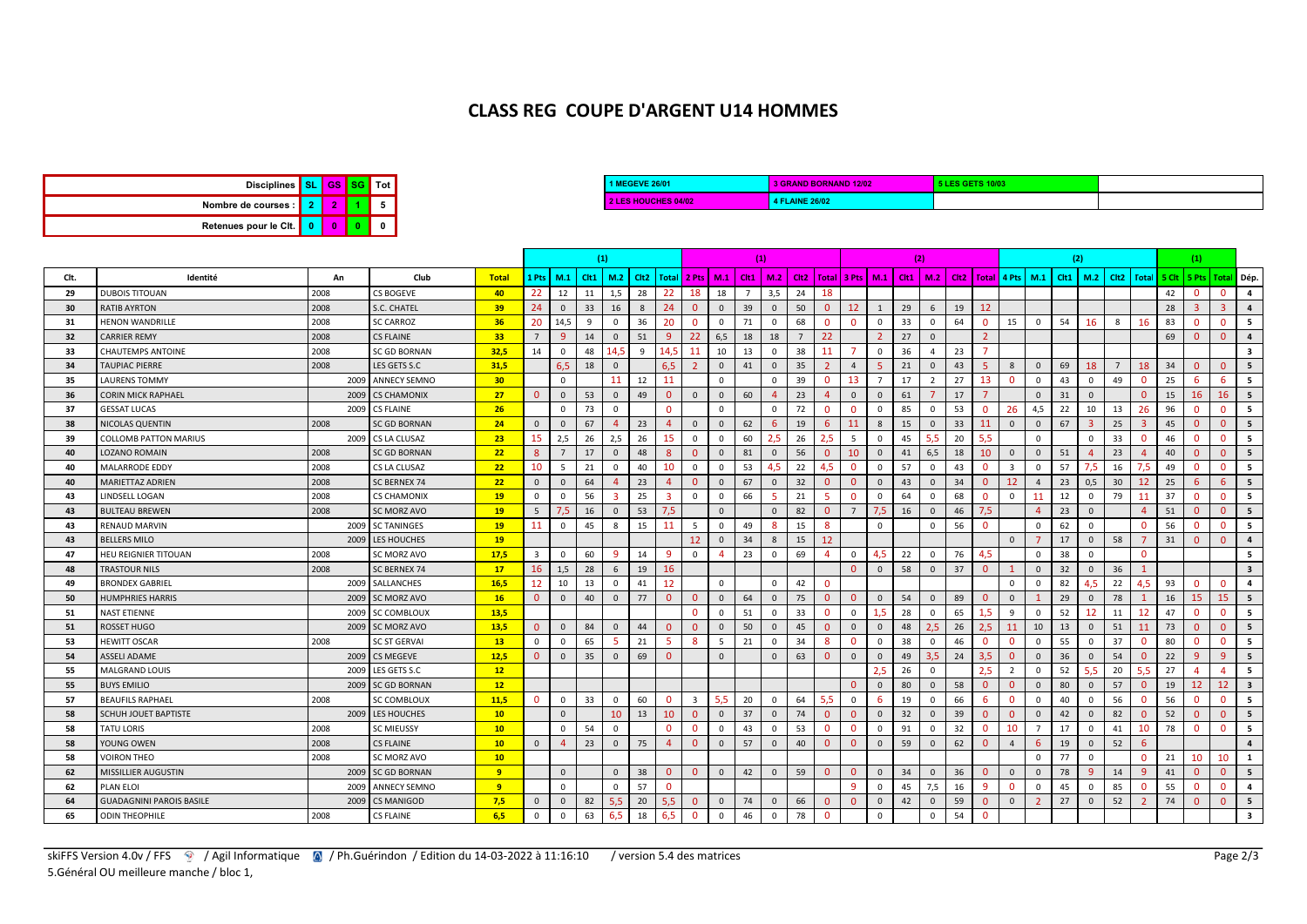## CLASS REG COUPE D'ARGENT U14 HOMMES

| Disciplines   SL GS SG Tot |  |  |
|----------------------------|--|--|
| Nombre de courses : 2      |  |  |
| Retenues pour le Cit. 0    |  |  |

| 1 1 MEGEVE 26/01    | <b>3 GRAND BORNAND 12/02</b> | <b>1 5 LES GETS 10/0</b> |  |
|---------------------|------------------------------|--------------------------|--|
| 2 LES HOUCHES 04/02 | <b>4 FLAINE 26/02</b>        |                          |  |

|      |                                 |      |                     |                 | (1)                     |                |                 |                  |                                   |                |                         | (1)            |    |                         |                |                |                |                | (2) |                |                                                                      |              |                         |                | (2)  |                |                | (1)                     |    |                |                |                         |
|------|---------------------------------|------|---------------------|-----------------|-------------------------|----------------|-----------------|------------------|-----------------------------------|----------------|-------------------------|----------------|----|-------------------------|----------------|----------------|----------------|----------------|-----|----------------|----------------------------------------------------------------------|--------------|-------------------------|----------------|------|----------------|----------------|-------------------------|----|----------------|----------------|-------------------------|
| Clt. | Identité                        | An   | Club                | <b>Total</b>    | 1 Pts   M.1             |                | C <sub>11</sub> | M.2              | Cit2   Total   2 Pts   M.1   Cit1 |                |                         |                |    | 1 M.2                   |                |                |                |                |     |                | Cit2   Totai   3 Pts   M.1   Cit1   M.2   Cit2   Totai   4 Pts   M.1 |              |                         |                | Clt1 | M.2            |                | Clt2   Total            |    | 5 Cit   5 Pts  | Total          | Dép.                    |
| 29   | <b>DUBOIS TITOUAN</b>           | 2008 | <b>CS BOGEVE</b>    | 40              | 22                      | 12             | 11              | 1,5              | 28                                | 22             | 18                      | 18             |    | 3,5                     | 24             | 18             |                |                |     |                |                                                                      |              |                         |                |      |                |                |                         | 42 | $\mathbf{0}$   | - 0            | 4                       |
| 30   | <b>RATIB AYRTON</b>             | 2008 | S.C. CHATEL         | 39 <sup>°</sup> | 24                      | $\Omega$       | 33              | 16               | 8                                 | 24             | $\Omega$                | $\overline{0}$ | 39 | $\overline{0}$          | 50             | $\overline{0}$ | 12             | 1              | 29  | 6              | 19                                                                   | 12           |                         |                |      |                |                |                         | 28 | $\overline{3}$ | $\overline{3}$ | $\overline{a}$          |
| -31  | <b>HENON WANDRILLE</b>          | 2008 | <b>SC CARROZ</b>    | 36              | 20                      | 14.5           | 9               | $\Omega$         | 36                                | 20             | $\Omega$                | $^{\circ}$     | 71 | $\overline{0}$          | 68             | $\mathbf{0}$   | $\Omega$       | $\Omega$       | 33  | $\mathbf 0$    | 64                                                                   | $\mathbf{0}$ | 15                      | $\Omega$       | 54   | 16             | 8              | 16                      | 83 | $\mathbf{0}$   | $\mathbf{0}$   | - 5                     |
| 32   | <b>CARRIER REMY</b>             | 2008 | <b>CS FLAINE</b>    | 33 <sup>°</sup> | $7^{\circ}$             | q              | 14              | $\Omega$         | 51                                | 9              | 22                      | 6,5            | 18 | 18                      | $\overline{7}$ | 22             |                | $\overline{z}$ | 27  | $\Omega$       |                                                                      |              |                         |                |      |                |                |                         | 69 | $\Omega$       | $\Omega$       | $\overline{a}$          |
| 33   | <b>CHAUTEMPS ANTOINE</b>        | 2008 | <b>SC GD BORNAN</b> | 32,5            | 14                      | $\Omega$       | 48              | .4.5             | $\mathbf{q}$                      | 14.5           | 11                      | 10             | 13 | $\overline{\mathbf{0}}$ | 38             | 11             |                | $\mathbf 0$    | 36  | $\mathbf{A}$   | 23                                                                   |              |                         |                |      |                |                |                         |    |                |                | $\overline{\mathbf{3}}$ |
| 34   | <b>TAUPIAC PIERRE</b>           | 2008 | LES GETS S.C        | 31.5            |                         | 6.5            | 18              | $\Omega$         |                                   | 6,5            |                         | $\overline{0}$ | 41 | $\overline{0}$          | 35             |                | $\overline{4}$ | $\overline{5}$ | 21  | $\mathbf{0}$   | 43                                                                   |              | 8                       | $\mathbf{0}$   | 69   | 18             | $\overline{7}$ | 18                      | 34 | $\Omega$       | $\Omega$       | - 5                     |
| -35  | <b>LAURENS TOMMY</b>            |      | 2009 ANNECY SEMNO   | 30 <sup>°</sup> |                         | $\Omega$       |                 | 11               | 12                                | 11             |                         | $\Omega$       |    | $\overline{0}$          | 39             | $\mathbf 0$    | 13             | $\overline{7}$ | 17  | 2              | 27                                                                   | 13           | $\Omega$                | $\Omega$       | 43   | $\Omega$       | 49             | $\Omega$                | 25 | 6              | -6             | 5                       |
| 36   | <b>CORIN MICK RAPHAEL</b>       |      | 2009 CS CHAMONIX    | 27              | $\overline{0}$          | $\Omega$       | 53              | $\mathbf{0}$     | 49                                | $\Omega$       | $\Omega$                | $\overline{0}$ | 60 | $\Delta$                | 23             | $\Delta$       | $\mathbf{0}$   | $\mathbf{0}$   | 61  |                | 17                                                                   |              |                         | $\Omega$       | 31   | $\Omega$       |                | $\Omega$                | 15 | 16             | 16             | 5                       |
| 37   | <b>GESSAT LUCAS</b>             |      | 2009 CS FLAINE      | 26              |                         | $^{\circ}$     | 73              | $\Omega$         |                                   | $\Omega$       |                         | $^{\circ}$     |    | $\mathbf 0$             | 72             | $\mathbf{0}$   | $\Omega$       | $\mathbf 0$    | 85  | 0              | 53                                                                   | $\Omega$     | 26                      | 4,5            | 22   | 10             | 13             | 26                      | 96 | $\Omega$       | $\Omega$       | - 5                     |
| 38   | <b>NICOLAS QUENTIN</b>          | 2008 | <b>SC GD BORNAN</b> | 24              | $\mathbf{0}$            | $\Omega$       | 67              | $\boldsymbol{A}$ | 23                                | $\overline{4}$ | $\Omega$                | $\overline{0}$ | 62 | 6                       | 19             | 6              | 11             | 8              | 15  | $\mathbf{0}$   | 33                                                                   | 11           | $\mathbf{0}$            | $\mathbf{0}$   | 67   | 3              | 25             | $\overline{\mathbf{3}}$ | 45 | $\mathbf{0}$   | $\Omega$       | 5                       |
| 39   | <b>COLLOMB PATTON MARIUS</b>    |      | 2009 CS LA CLUSAZ   | 23              | 15                      | 2,5            | 26              | 2,5              | 26                                | 15             | $\Omega$                | $\overline{0}$ | 60 | 2,5                     | 26             | 2.5            | 5              | $\Omega$       | 45  | 5,5            | 20                                                                   | 5.5          |                         | $\Omega$       |      | $\Omega$       | 33             | $\Omega$                | 46 | $\Omega$       | $\Omega$       | - 5                     |
| 40   | <b>LOZANO ROMAIN</b>            | 2008 | <b>SC GD BORNAN</b> | 22              | 8 <sup>°</sup>          | $\overline{7}$ | 17              | $\mathbf{0}$     | 48                                | 8              | $\Omega$                | $\overline{0}$ | 81 | $\overline{0}$          | 56             | $\overline{0}$ | 10             | $\mathbf{0}$   | 41  | 6,5            | 18                                                                   | 10           | $\mathbf{0}$            | $\mathbf{0}$   | 51   | $\Delta$       | 23             | $\overline{a}$          | 40 | $\Omega$       | $\Omega$       | 5                       |
| 40   | MALARRODE EDDY                  | 2008 | CS LA CLUSAZ        | 22              | 10                      | 5              | 21              | $\Omega$         | 40                                | 10             | $\Omega$                | $\Omega$       | 53 | 4,5                     | 22             | 4,5            | $\Omega$       | $\mathbf 0$    | 57  | $\mathbf 0$    | 43                                                                   | $\Omega$     | $\overline{\mathbf{3}}$ | $\Omega$       | 57   | 7,5            | 16             | 7,5                     | 49 | $\Omega$       | $\Omega$       | 5                       |
| 40   | MARIETTAZ ADRIEN                | 2008 | <b>SC BERNEX 74</b> | 22              | $\mathbf{0}$            | $\Omega$       | 64              | Δ                | 23                                | $\overline{4}$ | $\Omega$                | $\overline{0}$ | 67 | $\overline{0}$          | 32             | $\Omega$       | $\Omega$       | $\mathbf 0$    | 43  | $\mathbf{0}$   | 34                                                                   | $\Omega$     | 12                      | $\mathbf{A}$   | 23   | 0,5            | 30             | 12                      | 25 | 6              | 6              | 5                       |
| 43   | LINDSELL LOGAN                  | 2008 | <b>CS CHAMONIX</b>  | 19              | $\mathbf{0}$            | $\Omega$       | 56              |                  | 25                                | -3             | $\Omega$                | $\mathbf{0}$   | 66 | -5                      | 21             | -5             | $\Omega$       | $\mathbf 0$    | 64  | $\Omega$       | 68                                                                   | $\Omega$     | $\mathbf 0$             | 11             | 12   | $\Omega$       | 79             | 11                      | 37 | $\Omega$       | $\Omega$       | - 5                     |
| 43   | <b>BULTEAU BREWEN</b>           | 2008 | SC MORZ AVO         | 19              | -5                      | 7.5            | 16              | $\Omega$         | 53                                | 7.5            |                         | $\mathbf{0}$   |    | $\overline{0}$          | 82             | $\overline{0}$ | $\overline{7}$ | 7.5            | 16  | $\mathbf{0}$   | 46                                                                   | 7.5          |                         | $\Delta$       | 23   | $\Omega$       |                | $\Delta$                | 51 | $\Omega$       | $\Omega$       | 5                       |
| 43   | <b>RENAUD MARVIN</b>            |      | 2009 SC TANINGES    | 19              | 11                      | $^{\circ}$     | 45              | 8                | 15                                | 11             | -5                      | $\mathbf 0$    | 49 | -8                      | 15             | 8              |                | $\Omega$       |     | $^{\circ}$     | 56                                                                   | $\Omega$     |                         | $\Omega$       | 62   | $\Omega$       |                | $\Omega$                | 56 | $\Omega$       | $\Omega$       | - 5                     |
| 43   | <b>BELLERS MILO</b>             |      | 2009 LES HOUCHES    | <b>19</b>       |                         |                |                 |                  |                                   |                | 12                      | $\mathbf{0}$   | 34 | 8                       | 15             | 12             |                |                |     |                |                                                                      |              | $\mathbf{0}$            |                | 17   | $\mathbf{0}$   | 58             |                         | 31 | $\Omega$       | $\Omega$       | $\overline{a}$          |
| 47   | <b>HEU REIGNIER TITOUAN</b>     | 2008 | SC MORZ AVO         | 17,5            | $\overline{\mathbf{3}}$ | $^{\circ}$     | 60              | 9                | 14                                | -9             |                         | -4             | 23 | $\mathbf 0$             | 69             | 4              | $\mathbf 0$    | 4.5            | 22  | 0              | 76                                                                   | 4,5          |                         | $\Omega$       | 38   | $\Omega$       |                | $\Omega$                |    |                |                | 5                       |
| 48   | <b>TRASTOUR NILS</b>            | 2008 | SC BERNEX 74        | 17 <sup>2</sup> | 16 <sup>1</sup>         | 1,5            | 28              | 6                | 19                                | 16             |                         |                |    |                         |                |                | $\Omega$       | $\mathbf{0}$   | 58  | $\mathbf{0}$   | 37                                                                   | $\Omega$     | $\overline{1}$          | $\mathbf{0}$   | 32   | $\mathbf{0}$   | 36             | $\overline{1}$          |    |                |                | $\overline{\mathbf{3}}$ |
| 49   | <b>BRONDEX GABRIEL</b>          |      | 2009 SALLANCHES     | 16,5            | 12                      | 10             | 13              | $\mathbf{0}$     | 41                                | 12             |                         | $\mathbf 0$    |    | $\overline{0}$          | 42             | $\mathbf{0}$   |                |                |     |                |                                                                      |              | $\Omega$                | $\Omega$       | 82   | 4,5            | 22             | 4,5                     | 93 | $\mathbf{0}$   | $\Omega$       | $\overline{a}$          |
| 50   | <b>HUMPHRIES HARRIS</b>         |      | 2009 SC MORZ AVO    | 16              | $\overline{0}$          | $\mathbf{0}$   | 40              | $\Omega$         | 77                                | $\mathbf{0}$   | $\Omega$                | $\mathbb O$    | 64 | $\overline{0}$          | 75             | $\mathbf{0}$   | $\Omega$       | $\mathbf{0}$   | 54  | $\mathbf{0}$   | 89                                                                   | $\Omega$     | $\mathbf{0}$            |                | 29   | $\mathbf{0}$   | 78             |                         | 16 | 15             | 15             | 5                       |
| 51   | <b>NAST ETIENNE</b>             |      | 2009 SC COMBLOUX    | 13,5            |                         |                |                 |                  |                                   |                | $\Omega$                | $\Omega$       | 51 | $\overline{0}$          | 33             | $\mathbf{0}$   | $\Omega$       | 1.5            | 28  | $\Omega$       | 65                                                                   | 1.5          | 9                       | $\Omega$       | 52   | 12             | 11             | 12                      | 47 | $\Omega$       | $\Omega$       | - 5                     |
| 51   | <b>ROSSET HUGO</b>              |      | 2009 SC MORZ AVO    | 13.5            | $\overline{0}$          | $\Omega$       | 84              | $\Omega$         | 44                                | $\Omega$       | $\Omega$                | $\overline{0}$ | 50 | $\overline{0}$          | 45             | $\Omega$       | $\Omega$       | $\mathbf{0}$   | 48  | 2.5            | 26                                                                   | 2.5          | 11                      | 10             | 13   | $\Omega$       | 51             | 11                      | 73 | $\Omega$       | $\Omega$       | 5                       |
| -53  | <b>HEWITT OSCAR</b>             | 2008 | <b>SC ST GERVAI</b> | 13              | $^{\circ}$              | $\Omega$       | 65              | 5                | 21                                | -5             | -8                      | - 5            | 21 | $\overline{0}$          | 34             | 8              | $\mathbf{0}$   | $\Omega$       | 38  | $^{\circ}$     | 46                                                                   | $\Omega$     | $\mathbf{0}$            | $\Omega$       | 55   | $\mathbf{0}$   | 37             | $\Omega$                | 80 | $\mathbf{0}$   | $\Omega$       | - 5                     |
| 54   | <b>ASSELI ADAME</b>             |      | 2009 CS MEGEVE      | 12,5            | $\mathbf{0}$            | $\Omega$       | 35              | $\Omega$         | 69                                | $\Omega$       |                         | $\mathbf{0}$   |    | $\overline{0}$          | 63             | $\overline{0}$ | $\Omega$       | $\mathbf{0}$   | 49  | 3,5            | 24                                                                   | 3,5          | $\Omega$                | $\Omega$       | 36   | $\Omega$       | 54             | $\Omega$                | 22 | $\mathbf{q}$   | $\mathbf{q}$   | 5                       |
| 55   | MALGRAND LOUIS                  |      | 2009 LES GETS S.C   | 12              |                         |                |                 |                  |                                   |                |                         |                |    |                         |                |                |                | 2.5            | 26  | $\Omega$       |                                                                      | 2.5          | $\overline{2}$          | $\Omega$       | 52   | 5.5            | 20             | 5.5                     | 27 | Δ              | $\Delta$       | - 5                     |
| 55   | <b>BUYS EMILIO</b>              |      | 2009 SC GD BORNAN   | 12              |                         |                |                 |                  |                                   |                |                         |                |    |                         |                |                | $\Omega$       | $\mathbf{0}$   | 80  | $\mathbf{0}$   | 58                                                                   | $\Omega$     | $\Omega$                | $\mathbf{0}$   | 80   | $\mathbf{0}$   | 57             | $\Omega$                | 19 | 12             | 12             | $\overline{\mathbf{3}}$ |
| 57   | <b>BEAUFILS RAPHAEL</b>         | 2008 | <b>SC COMBLOUX</b>  | 11,5            | $\Omega$                | $\Omega$       | 33              | $^{\circ}$       | 60                                | $\Omega$       | $\overline{\mathbf{3}}$ | 5,5            | 20 | $\overline{0}$          | 64             | 5.5            | $^{\circ}$     | -6             | 19  | $\mathbf 0$    | 66                                                                   | -6           | $\overline{0}$          | $\Omega$       | 40   | $\Omega$       | 56             | $\Omega$                | 56 | $\Omega$       | $\Omega$       | 5                       |
| 58   | <b>SCHUH JOUET BAPTISTE</b>     |      | 2009 LES HOUCHES    | 10 <sup>°</sup> |                         | $\Omega$       |                 | 10               | 13                                | 10             | $\Omega$                | $\mathbf{0}$   | 37 | $\overline{0}$          | 74             | $\overline{0}$ | $\mathbf{0}$   | $\mathbf{0}$   | 32  | $\mathbf{0}$   | 39                                                                   | $\Omega$     | $\mathbf{0}$            | $\Omega$       | 42   | $\mathbf{0}$   | 82             | $\Omega$                | 52 | $\mathbf{0}$   | $\Omega$       | 5                       |
| 58   | <b>TATU LORIS</b>               | 2008 | <b>SC MIEUSSY</b>   | 10 <sup>°</sup> |                         | $\mathbf 0$    | 54              | $\Omega$         |                                   | $\Omega$       | $\Omega$                | $\Omega$       | 43 | $\Omega$                | 53             | $\Omega$       | $\Omega$       | $\Omega$       | 91  | $\mathbf 0$    | 32                                                                   | $\Omega$     | 10                      | $\overline{7}$ | 17   | $\mathbf{0}$   | 41             | 10                      | 78 | $\mathbf{0}$   | $\Omega$       | 5                       |
| 58   | YOUNG OWEN                      | 2008 | <b>CS FLAINE</b>    | 10 <sup>°</sup> | $\mathbf{0}$            | $\overline{a}$ | 23              | $\mathbf{0}$     | 75                                | $\overline{4}$ | $\Omega$                | $\mathbf{0}$   | 57 | $\overline{0}$          | 40             | $\Omega$       | $\Omega$       | $\mathbf{0}$   | 59  | $\Omega$       | 62                                                                   | $\Omega$     | $\overline{4}$          | -6             | 19   | $\mathbf{0}$   | 52             | 6                       |    |                |                | $\overline{4}$          |
| -58  | <b>VOIRON THEO</b>              | 2008 | SC MORZ AVO         | 10 <sup>°</sup> |                         |                |                 |                  |                                   |                |                         |                |    |                         |                |                |                |                |     |                |                                                                      |              |                         | $\Omega$       | 77   | $\Omega$       |                | $\Omega$                | 21 | 10             | 10             | 1                       |
| 62   | <b>MISSILLIER AUGUSTIN</b>      |      | 2009 SC GD BORNAN   | 9               |                         | $\Omega$       |                 | $\Omega$         | 38                                | $\mathbf{0}$   | $\mathbf{0}$            | $\overline{0}$ | 42 | $\overline{0}$          | 59             | $\mathbf{0}$   | $\mathbf{0}$   | $\mathbf{0}$   | 34  | $\mathbf 0$    | 36                                                                   | $\Omega$     | $\mathbb O$             | $\mathbf{0}$   | 78   | 9 <sup>°</sup> | 14             | 9                       | 41 | $\mathbf{0}$   | $\Omega$       | 5                       |
| 62   | PLAN ELOI                       |      | 2009 ANNECY SEMNO   | 9               |                         | $\Omega$       |                 | $\Omega$         | 57                                | $\Omega$       |                         |                |    |                         |                |                | <sub>q</sub>   | $\Omega$       | 45  | 7,5            | 16                                                                   | <b>q</b>     | $\Omega$                | $\Omega$       | 45   | $\Omega$       | 85             | $\Omega$                | 55 | $\Omega$       | $\Omega$       | $\overline{a}$          |
| 64   | <b>GUADAGNINI PAROIS BASILE</b> |      | 2009 CS MANIGOD     | 7,5             | $\mathbf{0}$            | $\Omega$       | 82              | 5.5              | 20                                | 5.5            |                         | $\overline{0}$ | 74 | $\mathbf 0$             | 66             | $\Omega$       | $\Omega$       | $\mathbf{0}$   | 42  | $\overline{0}$ | 59                                                                   | $\Omega$     | $\mathbf{0}$            |                | 27   | $\mathbf{0}$   | 52             |                         | 74 |                |                | 5                       |
| 65   | <b>ODIN THEOPHILE</b>           | 2008 | <b>CS FLAINE</b>    | 6.5             | $\mathbf{0}$            | $^{\circ}$     | 63              | 6,5              | 18                                | 6,5            | $\mathbf 0$             | $\mathbf 0$    | 46 | $\overline{0}$          | 78             | $\Omega$       |                | $\Omega$       |     | $\Omega$       | 54                                                                   | $\Omega$     |                         |                |      |                |                |                         |    |                |                | $\overline{\mathbf{3}}$ |